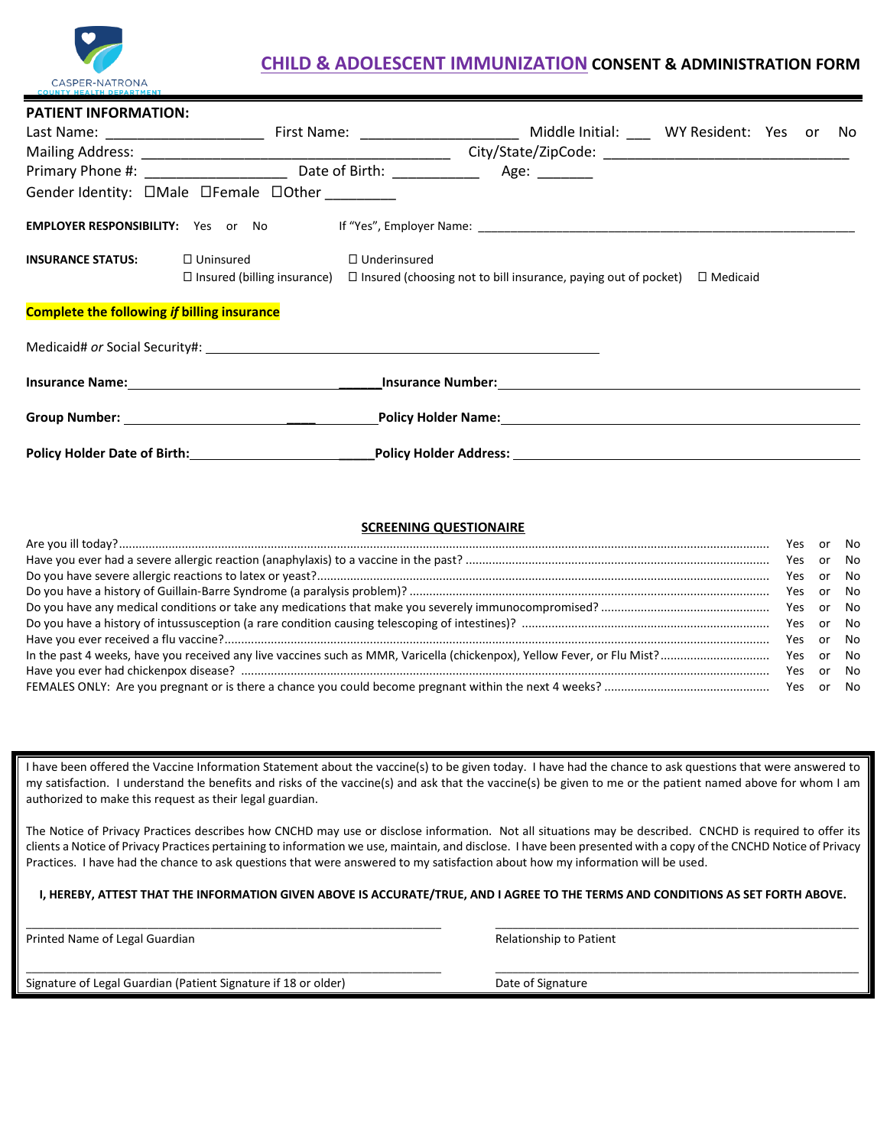

## **CHILD & ADOLESCENT IMMUNIZATION CONSENT & ADMINISTRATION FORM**

**PATIENT INFORMATION:**

| PAILENT INFORMATION:                               |                                                                                                               |                     |                                                                                                                          |                                     |  |     |
|----------------------------------------------------|---------------------------------------------------------------------------------------------------------------|---------------------|--------------------------------------------------------------------------------------------------------------------------|-------------------------------------|--|-----|
|                                                    |                                                                                                               |                     |                                                                                                                          | Middle Initial: WY Resident: Yes or |  | No. |
|                                                    |                                                                                                               |                     |                                                                                                                          |                                     |  |     |
|                                                    |                                                                                                               |                     |                                                                                                                          |                                     |  |     |
|                                                    | Gender Identity: DMale DFemale DOther ________                                                                |                     |                                                                                                                          |                                     |  |     |
|                                                    |                                                                                                               |                     |                                                                                                                          |                                     |  |     |
| <b>INSURANCE STATUS:</b>                           | $\Box$ Uninsured                                                                                              | $\Box$ Underinsured | $\Box$ Insured (billing insurance) $\Box$ Insured (choosing not to bill insurance, paying out of pocket) $\Box$ Medicaid |                                     |  |     |
| <b>Complete the following if billing insurance</b> |                                                                                                               |                     |                                                                                                                          |                                     |  |     |
|                                                    |                                                                                                               |                     |                                                                                                                          |                                     |  |     |
|                                                    | Insurance Name: Manneless Communication of the Manner Communication of the Manner Communication of the Manner |                     | Linsurance Number: 1999 March 2014 1999 March 2014 1999 March 2014 1999 March 2014                                       |                                     |  |     |
|                                                    |                                                                                                               |                     |                                                                                                                          |                                     |  |     |
| <b>Policy Holder Date of Birth:</b>                |                                                                                                               |                     | <b>Policy Holder Address:</b>                                                                                            |                                     |  |     |

## **SCREENING QUESTIONAIRE**

|  | Yes or No |  |  |
|--|-----------|--|--|
|  |           |  |  |
|  |           |  |  |
|  |           |  |  |
|  |           |  |  |
|  |           |  |  |
|  | Yes or No |  |  |
|  |           |  |  |
|  | Yes or No |  |  |
|  |           |  |  |

I have been offered the Vaccine Information Statement about the vaccine(s) to be given today. I have had the chance to ask questions that were answered to my satisfaction. I understand the benefits and risks of the vaccine(s) and ask that the vaccine(s) be given to me or the patient named above for whom I am authorized to make this request as their legal guardian.

The Notice of Privacy Practices describes how CNCHD may use or disclose information. Not all situations may be described. CNCHD is required to offer its clients a Notice of Privacy Practices pertaining to information we use, maintain, and disclose. I have been presented with a copy of the CNCHD Notice of Privacy Practices. I have had the chance to ask questions that were answered to my satisfaction about how my information will be used.

**I, HEREBY, ATTEST THAT THE INFORMATION GIVEN ABOVE IS ACCURATE/TRUE, AND I AGREE TO THE TERMS AND CONDITIONS AS SET FORTH ABOVE.**

\_\_\_\_\_\_\_\_\_\_\_\_\_\_\_\_\_\_\_\_\_\_\_\_\_\_\_\_\_\_\_\_\_\_\_\_\_\_\_\_\_\_\_\_\_\_\_\_\_\_\_\_\_\_\_\_\_\_\_\_\_\_\_\_\_\_\_\_\_\_\_\_ \_\_\_\_\_\_\_\_\_\_\_\_\_\_\_\_\_\_\_\_\_\_\_\_\_\_\_\_\_\_\_\_\_\_\_\_\_\_\_\_\_\_\_\_\_\_\_\_\_\_\_\_\_\_\_\_\_\_\_\_\_\_\_

\_\_\_\_\_\_\_\_\_\_\_\_\_\_\_\_\_\_\_\_\_\_\_\_\_\_\_\_\_\_\_\_\_\_\_\_\_\_\_\_\_\_\_\_\_\_\_\_\_\_\_\_\_\_\_\_\_\_\_\_\_\_\_\_\_\_\_\_\_\_\_\_ \_\_\_\_\_\_\_\_\_\_\_\_\_\_\_\_\_\_\_\_\_\_\_\_\_\_\_\_\_\_\_\_\_\_\_\_\_\_\_\_\_\_\_\_\_\_\_\_\_\_\_\_\_\_\_\_\_\_\_\_\_\_\_

Printed Name of Legal Guardian **Relationship to Patient** Relationship to Patient

Signature of Legal Guardian (Patient Signature if 18 or older) Date of Signature Date of Signature